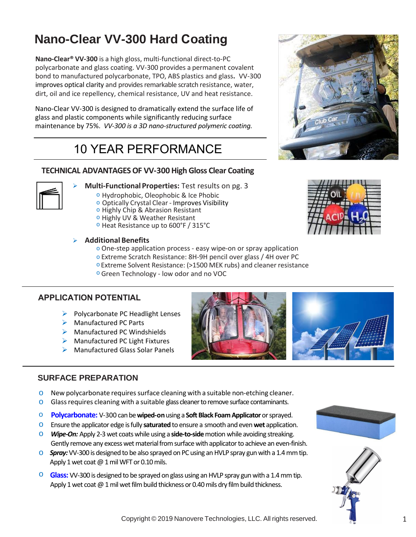# **Nano-Clear VV-300 Hard Coating**

**Nano-Clear® VV-300** is a high gloss, multi-functional direct-to-PC polycarbonate and glass coating. VV-300 provides a permanent covalent bond to manufactured polycarbonate, TPO, ABS plastics and glass**.** VV-300 improves optical clarity and provides remarkable scratch resistance, water, dirt, oil and ice repellency, chemical resistance, UV and heat resistance.

Nano-Clear VV-300 is designed to dramatically extend the surface life of glass and plastic components while significantly reducing surface maintenance by 75%. *VV-300 is a 3D nano-structured polymeric coating.*

# 10 YEAR PERFORMANCE

# **TECHNICAL ADVANTAGES OF VV-300 High Gloss Clear Coating**



- **Multi-FunctionalProperties:** Test results on pg. 3
	- o Hydrophobic, Oleophobic & Ice Phobic
	- o Optically Crystal Clear Improves Visibility
	- o Highly Chip & Abrasion Resistant
	- o Highly UV & Weather Resistant
	- o Heat Resistance up to 600°F / 315°C

#### **Additional Benefits**

- o One-step application process easy wipe-on or spray application
- o Extreme Scratch Resistance: 8H-9H pencil over glass / 4H over PC
- o Extreme Solvent Resistance: (>1500 MEK rubs) and cleaner resistance
- o Green Technology low odor and no VOC

### **APPLICATION POTENTIAL**

- $\triangleright$  Polycarbonate PC Headlight Lenses
- **▶ Manufactured PC Parts**
- $\triangleright$  Manufactured PC Windshields
- $\triangleright$  Manufactured PC Light Fixtures
- ▶ Manufactured Glass Solar Panels



### **SURFACE PREPARATION**

New polycarbonate requires surface cleaning with a suitable non-etching cleaner. Glass requires cleaning with a suitable glass cleaner to remove surface contaminants.

#### **Polycarbonate & Glass:**

Nano-Clear VV-300 is designed to be wiped-onusing a **Suede Microfiber Cloth** covered over a **Soft Black Foam Applicator** or sprayed using an HVLP gun. Ensure the suede cloth / foam applicator edge is fully **saturated** to ensure a smooth and even **wet** application.

- o *Wipe-On:* Apply 1wet coat using a **side-to-side** motion while avoiding streaking.Gently remove any excess wet material from surface with applicator to achieve an even-finish.
- $\circ$  **Spray:** Apply 1 wet coat @ 1 mil WFT (.10 DFT mil) using an HVLP spray gun with a 1.4 mm tip.







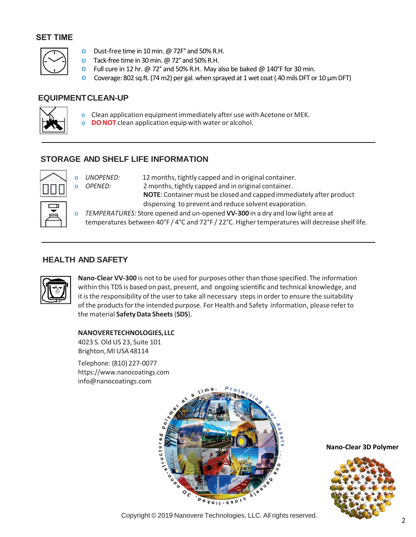### **SET TIME**



- o Dust-free time in 10 min. @72F° and 50% R.H.
- $\circ$  Tack-free time in 30 min. @ 72° and 50% R.H.
- $\circ$  Full cure in 24 hr. @ 72° and 50% R.H. May also be baked @ 140°F for 30 min.
- o Coverage: 320 sq.ft. (74m2) per gal. when sprayed at 1 wet coat(.10 mils DFT)

## **EQUIPMENTCLEAN-UP**



- o Clean application equipmentimmediately after use with Acetone or MEK.
- o **DO NOT** clean application equip with water or alcohol.

## **STORAGE AND SHELF LIFE INFORMATION**



o *UNOPENED:* 12months,tightly capped and in original container. o *OPENED:* 2 months, tightly capped and in original container. **NOTE:** Container must be closed and capped immediately after product dispensing to prevent and reduce solvent evaporation.

o *TEMPERATURES:* Store opened and un-opened **VV-300** in a dry and low light area at temperatures between 40°F / 4°C and 72°F / 22°C. Higher temperatures will decrease shelf life.

## **HEALTH AND SAFETY**



**Nano-Clear VV-300** is not to be used for purposes other than those specified. The information within this TDS is based on past, present, and ongoing scientific and technical knowledge, and it is the responsibility of the user to take all necessary steps in order to ensure the suitability of the products for the intended purpose. For Health and Safety information, please refer to the material **[SafetyData](http://www.nanocoatings.com/) Sheets**(**SDS**).

#### **[NANOVERETECHNOLOGI](mailto:info@nanocoatings.com)ES,LLC**

4023 S.Old US 23, Suite 101 Brighton, MI USA 48114

Telephone: (810) 227-0077 https://www.nanocoatings.com info@nanocoatings.com



**Nano-Clear 3D Polymer**



<sup>2</sup> Copyright © 201<sup>9</sup> Nanovere Technologies, LLC. All rights reserved.